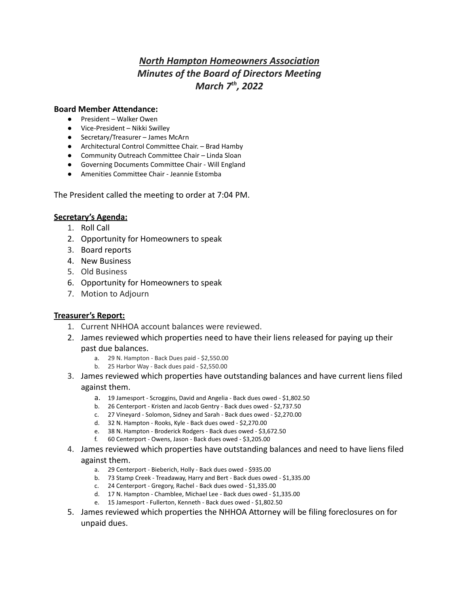# *North Hampton Homeowners Association Minutes of the Board of Directors Meeting March 7 th , 2022*

#### **Board Member Attendance:**

- President Walker Owen
- Vice-President Nikki Swilley
- Secretary/Treasurer James McArn
- Architectural Control Committee Chair. Brad Hamby
- Community Outreach Committee Chair Linda Sloan
- Governing Documents Committee Chair Will England
- Amenities Committee Chair Jeannie Estomba

The President called the meeting to order at 7:04 PM.

#### **Secretary's Agenda:**

- 1. Roll Call
- 2. Opportunity for Homeowners to speak
- 3. Board reports
- 4. New Business
- 5. Old Business
- 6. Opportunity for Homeowners to speak
- 7. Motion to Adjourn

#### **Treasurer's Report:**

- 1. Current NHHOA account balances were reviewed.
- 2. James reviewed which properties need to have their liens released for paying up their past due balances.
	- a. 29 N. Hampton Back Dues paid \$2,550.00
	- b. 25 Harbor Way Back dues paid \$2,550.00
- 3. James reviewed which properties have outstanding balances and have current liens filed against them.
	- a. 19 Jamesport Scroggins, David and Angelia Back dues owed \$1,802.50
	- b. 26 Centerport Kristen and Jacob Gentry Back dues owed \$2,737.50
	- c. 27 Vineyard Solomon, Sidney and Sarah Back dues owed \$2,270.00
	- d. 32 N. Hampton Rooks, Kyle Back dues owed \$2,270.00
	- e. 38 N. Hampton Broderick Rodgers Back dues owed \$3,672.50
	- f. 60 Centerport Owens, Jason Back dues owed \$3,205.00
- 4. James reviewed which properties have outstanding balances and need to have liens filed against them.
	- a. 29 Centerport Bieberich, Holly Back dues owed \$935.00
	- b. 73 Stamp Creek Treadaway, Harry and Bert Back dues owed \$1,335.00
	- c. 24 Centerport Gregory, Rachel Back dues owed \$1,335.00
	- d. 17 N. Hampton Chamblee, Michael Lee Back dues owed \$1,335.00
	- e. 15 Jamesport Fullerton, Kenneth Back dues owed \$1,802.50
- 5. James reviewed which properties the NHHOA Attorney will be filing foreclosures on for unpaid dues.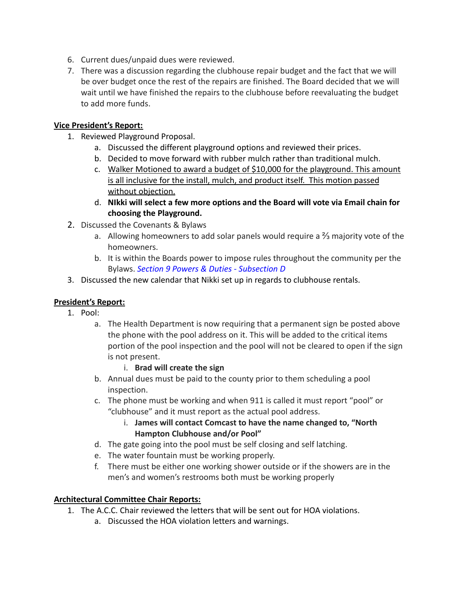- 6. Current dues/unpaid dues were reviewed.
- 7. There was a discussion regarding the clubhouse repair budget and the fact that we will be over budget once the rest of the repairs are finished. The Board decided that we will wait until we have finished the repairs to the clubhouse before reevaluating the budget to add more funds.

## **Vice President's Report:**

- 1. Reviewed Playground Proposal.
	- a. Discussed the different playground options and reviewed their prices.
	- b. Decided to move forward with rubber mulch rather than traditional mulch.
	- c. Walker Motioned to award a budget of \$10,000 for the playground. This amount is all inclusive for the install, mulch, and product itself. This motion passed without objection.
	- d. **NIkki will select a few more options and the Board will vote via Email chain for choosing the Playground.**
- 2. Discussed the Covenants & Bylaws
	- a. Allowing homeowners to add solar panels would require a ⅔ majority vote of the homeowners.
	- b. It is within the Boards power to impose rules throughout the community per the Bylaws. *Section 9 Powers & Duties - Subsection D*
- 3. Discussed the new calendar that Nikki set up in regards to clubhouse rentals.

# **President's Report:**

- 1. Pool:
	- a. The Health Department is now requiring that a permanent sign be posted above the phone with the pool address on it. This will be added to the critical items portion of the pool inspection and the pool will not be cleared to open if the sign is not present.
		- i. **Brad will create the sign**
	- b. Annual dues must be paid to the county prior to them scheduling a pool inspection.
	- c. The phone must be working and when 911 is called it must report "pool" or "clubhouse" and it must report as the actual pool address.
		- i. **James will contact Comcast to have the name changed to, "North Hampton Clubhouse and/or Pool"**
	- d. The gate going into the pool must be self closing and self latching.
	- e. The water fountain must be working properly.
	- f. There must be either one working shower outside or if the showers are in the men's and women's restrooms both must be working properly

### **Architectural Committee Chair Reports:**

- 1. The A.C.C. Chair reviewed the letters that will be sent out for HOA violations.
	- a. Discussed the HOA violation letters and warnings.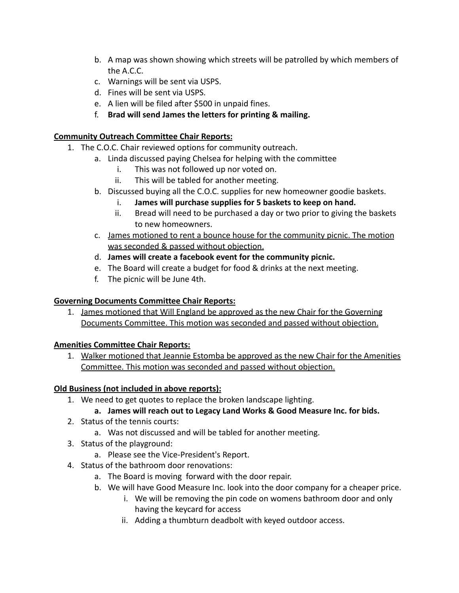- b. A map was shown showing which streets will be patrolled by which members of the A.C.C.
- c. Warnings will be sent via USPS.
- d. Fines will be sent via USPS.
- e. A lien will be filed after \$500 in unpaid fines.
- f. **Brad will send James the letters for printing & mailing.**

## **Community Outreach Committee Chair Reports:**

- 1. The C.O.C. Chair reviewed options for community outreach.
	- a. Linda discussed paying Chelsea for helping with the committee
		- i. This was not followed up nor voted on.
		- ii. This will be tabled for another meeting.
		- b. Discussed buying all the C.O.C. supplies for new homeowner goodie baskets.
			- i. **James will purchase supplies for 5 baskets to keep on hand.**
			- ii. Bread will need to be purchased a day or two prior to giving the baskets to new homeowners.
		- c. James motioned to rent a bounce house for the community picnic. The motion was seconded & passed without objection.
		- d. **James will create a facebook event for the community picnic.**
		- e. The Board will create a budget for food & drinks at the next meeting.
		- f. The picnic will be June 4th.

# **Governing Documents Committee Chair Reports:**

1. James motioned that Will England be approved as the new Chair for the Governing Documents Committee. This motion was seconded and passed without objection.

# **Amenities Committee Chair Reports:**

1. Walker motioned that Jeannie Estomba be approved as the new Chair for the Amenities Committee. This motion was seconded and passed without objection.

# **Old Business (not included in above reports):**

1. We need to get quotes to replace the broken landscape lighting.

# **a. James will reach out to Legacy Land Works & Good Measure Inc. for bids.**

- 2. Status of the tennis courts:
	- a. Was not discussed and will be tabled for another meeting.
- 3. Status of the playground:
	- a. Please see the Vice-President's Report.
- 4. Status of the bathroom door renovations:
	- a. The Board is moving forward with the door repair.
	- b. We will have Good Measure Inc. look into the door company for a cheaper price.
		- i. We will be removing the pin code on womens bathroom door and only having the keycard for access
		- ii. Adding a thumbturn deadbolt with keyed outdoor access.